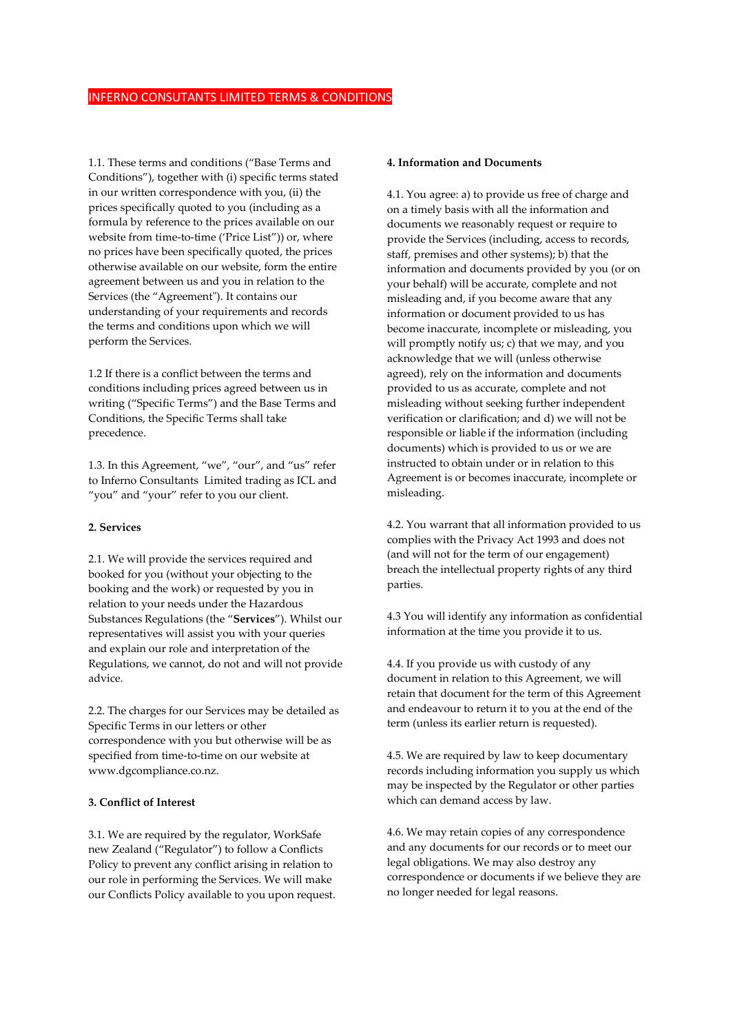1.1. These terms and conditions ("Base Terms and Conditions"), together with (i) specific terms stated in our written correspondence with you, (ii) the prices specifically quoted to you (including as a formula by reference to the prices available on our website from time-to-time ('Price List")) or, where no prices have been specifically quoted, the prices otherwise available on our website, form the entire agreement between us and you in relation to the Services (the "Agreement"). It contains our understanding of your requirements and records the terms and conditions upon which we will perform the Services.

1.2 If there is a conflict between the terms and conditions including prices agreed between us in writing ("Specific Terms") and the Base Terms and Conditions, the Specific Terms shall take precedence.

1.3. In this Agreement, "we", "our", and "us" refer to Inferno Consultants Limited trading as ICL and "you" and "your" refer to you our client.

#### **2. Services**

2.1. We will provide the services required and booked for you (without your objecting to the booking and the work) or requested by you in relation to your needs under the Hazardous Substances Regulations (the "**Services**"). Whilst our representatives will assist you with your queries and explain our role and interpretation of the Regulations, we cannot, do not and will not provide advice.

2.2. The charges for our Services may be detailed as Specific Terms in our letters or other correspondence with you but otherwise will be as specified from time-to-time on our website at www.dgcompliance.co.nz.

## **3. Conflict of Interest**

3.1. We are required by the regulator, WorkSafe new Zealand ("Regulator") to follow a Conflicts Policy to prevent any conflict arising in relation to our role in performing the Services. We will make our Conflicts Policy available to you upon request.

#### **4. Information and Documents**

4.1. You agree: a) to provide us free of charge and on a timely basis with all the information and documents we reasonably request or require to provide the Services (including, access to records, staff, premises and other systems); b) that the information and documents provided by you (or on your behalf) will be accurate, complete and not misleading and, if you become aware that any information or document provided to us has become inaccurate, incomplete or misleading, you will promptly notify us; c) that we may, and you acknowledge that we will (unless otherwise agreed), rely on the information and documents provided to us as accurate, complete and not misleading without seeking further independent verification or clarification; and d) we will not be responsible or liable if the information (including documents) which is provided to us or we are instructed to obtain under or in relation to this Agreement is or becomes inaccurate, incomplete or misleading.

4.2. You warrant that all information provided to us complies with the Privacy Act 1993 and does not (and will not for the term of our engagement) breach the intellectual property rights of any third parties.

4.3 You will identify any information as confidential information at the time you provide it to us.

4.4. If you provide us with custody of any document in relation to this Agreement, we will retain that document for the term of this Agreement and endeavour to return it to you at the end of the term (unless its earlier return is requested).

4.5. We are required by law to keep documentary records including information you supply us which may be inspected by the Regulator or other parties which can demand access by law.

4.6. We may retain copies of any correspondence and any documents for our records or to meet our legal obligations. We may also destroy any correspondence or documents if we believe they are no longer needed for legal reasons.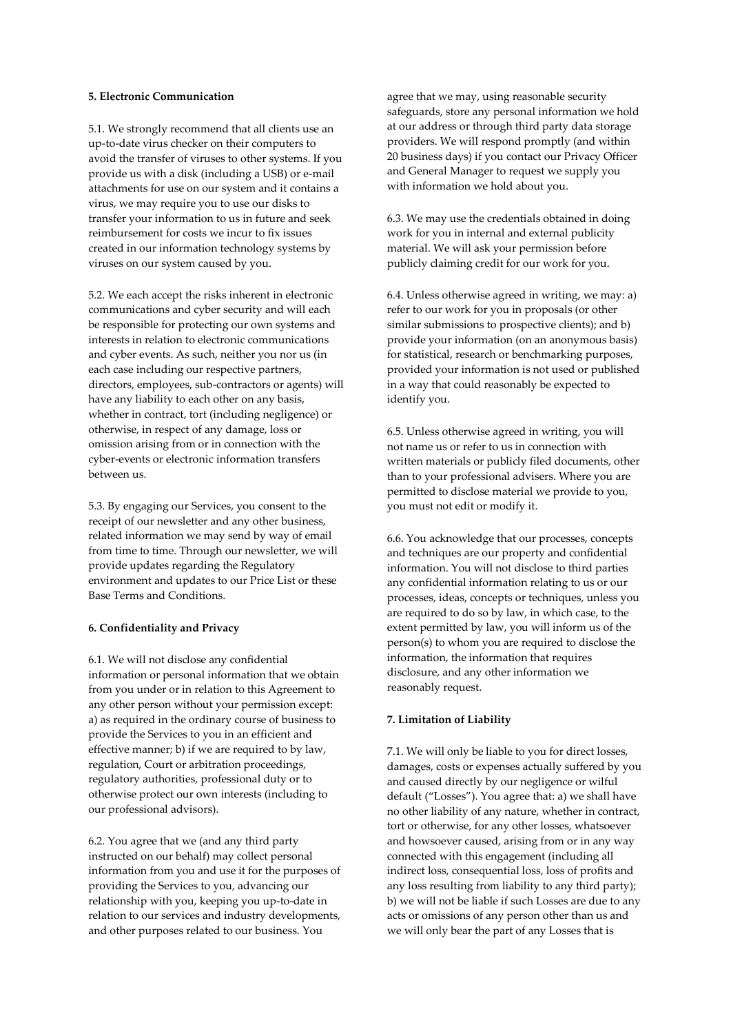#### **5. Electronic Communication**

5.1. We strongly recommend that all clients use an up-to-date virus checker on their computers to avoid the transfer of viruses to other systems. If you provide us with a disk (including a USB) or e-mail attachments for use on our system and it contains a virus, we may require you to use our disks to transfer your information to us in future and seek reimbursement for costs we incur to fix issues created in our information technology systems by viruses on our system caused by you.

5.2. We each accept the risks inherent in electronic communications and cyber security and will each be responsible for protecting our own systems and interests in relation to electronic communications and cyber events. As such, neither you nor us (in each case including our respective partners, directors, employees, sub-contractors or agents) will have any liability to each other on any basis, whether in contract, tort (including negligence) or otherwise, in respect of any damage, loss or omission arising from or in connection with the cyber-events or electronic information transfers between us.

5.3. By engaging our Services, you consent to the receipt of our newsletter and any other business, related information we may send by way of email from time to time. Through our newsletter, we will provide updates regarding the Regulatory environment and updates to our Price List or these Base Terms and Conditions.

# **6. Confidentiality and Privacy**

6.1. We will not disclose any confidential information or personal information that we obtain from you under or in relation to this Agreement to any other person without your permission except: a) as required in the ordinary course of business to provide the Services to you in an efficient and effective manner; b) if we are required to by law, regulation, Court or arbitration proceedings, regulatory authorities, professional duty or to otherwise protect our own interests (including to our professional advisors).

6.2. You agree that we (and any third party instructed on our behalf) may collect personal information from you and use it for the purposes of providing the Services to you, advancing our relationship with you, keeping you up-to-date in relation to our services and industry developments, and other purposes related to our business. You

agree that we may, using reasonable security safeguards, store any personal information we hold at our address or through third party data storage providers. We will respond promptly (and within 20 business days) if you contact our Privacy Officer and General Manager to request we supply you with information we hold about you.

6.3. We may use the credentials obtained in doing work for you in internal and external publicity material. We will ask your permission before publicly claiming credit for our work for you.

6.4. Unless otherwise agreed in writing, we may: a) refer to our work for you in proposals (or other similar submissions to prospective clients); and b) provide your information (on an anonymous basis) for statistical, research or benchmarking purposes, provided your information is not used or published in a way that could reasonably be expected to identify you.

6.5. Unless otherwise agreed in writing, you will not name us or refer to us in connection with written materials or publicly filed documents, other than to your professional advisers. Where you are permitted to disclose material we provide to you, you must not edit or modify it.

6.6. You acknowledge that our processes, concepts and techniques are our property and confidential information. You will not disclose to third parties any confidential information relating to us or our processes, ideas, concepts or techniques, unless you are required to do so by law, in which case, to the extent permitted by law, you will inform us of the person(s) to whom you are required to disclose the information, the information that requires disclosure, and any other information we reasonably request.

## **7. Limitation of Liability**

7.1. We will only be liable to you for direct losses, damages, costs or expenses actually suffered by you and caused directly by our negligence or wilful default ("Losses"). You agree that: a) we shall have no other liability of any nature, whether in contract, tort or otherwise, for any other losses, whatsoever and howsoever caused, arising from or in any way connected with this engagement (including all indirect loss, consequential loss, loss of profits and any loss resulting from liability to any third party); b) we will not be liable if such Losses are due to any acts or omissions of any person other than us and we will only bear the part of any Losses that is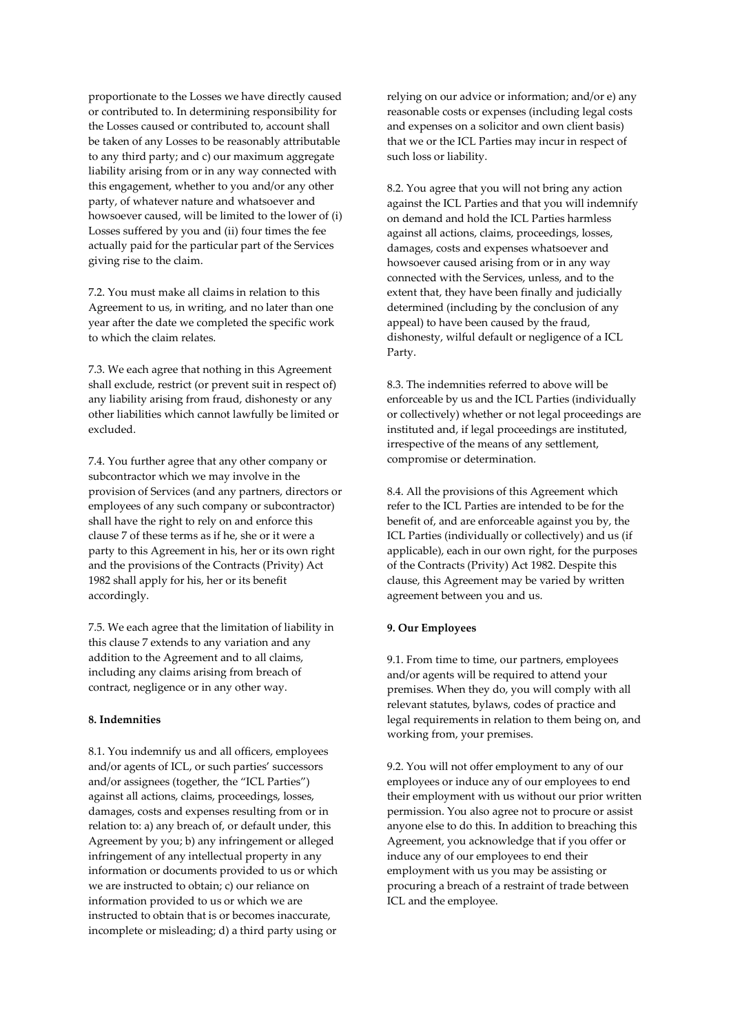proportionate to the Losses we have directly caused or contributed to. In determining responsibility for the Losses caused or contributed to, account shall be taken of any Losses to be reasonably attributable to any third party; and c) our maximum aggregate liability arising from or in any way connected with this engagement, whether to you and/or any other party, of whatever nature and whatsoever and howsoever caused, will be limited to the lower of (i) Losses suffered by you and (ii) four times the fee actually paid for the particular part of the Services giving rise to the claim.

7.2. You must make all claims in relation to this Agreement to us, in writing, and no later than one year after the date we completed the specific work to which the claim relates.

7.3. We each agree that nothing in this Agreement shall exclude, restrict (or prevent suit in respect of) any liability arising from fraud, dishonesty or any other liabilities which cannot lawfully be limited or excluded.

7.4. You further agree that any other company or subcontractor which we may involve in the provision of Services (and any partners, directors or employees of any such company or subcontractor) shall have the right to rely on and enforce this clause 7 of these terms as if he, she or it were a party to this Agreement in his, her or its own right and the provisions of the Contracts (Privity) Act 1982 shall apply for his, her or its benefit accordingly.

7.5. We each agree that the limitation of liability in this clause 7 extends to any variation and any addition to the Agreement and to all claims, including any claims arising from breach of contract, negligence or in any other way.

# **8. Indemnities**

8.1. You indemnify us and all officers, employees and/or agents of ICL, or such parties' successors and/or assignees (together, the "ICL Parties") against all actions, claims, proceedings, losses, damages, costs and expenses resulting from or in relation to: a) any breach of, or default under, this Agreement by you; b) any infringement or alleged infringement of any intellectual property in any information or documents provided to us or which we are instructed to obtain; c) our reliance on information provided to us or which we are instructed to obtain that is or becomes inaccurate, incomplete or misleading; d) a third party using or relying on our advice or information; and/or e) any reasonable costs or expenses (including legal costs and expenses on a solicitor and own client basis) that we or the ICL Parties may incur in respect of such loss or liability.

8.2. You agree that you will not bring any action against the ICL Parties and that you will indemnify on demand and hold the ICL Parties harmless against all actions, claims, proceedings, losses, damages, costs and expenses whatsoever and howsoever caused arising from or in any way connected with the Services, unless, and to the extent that, they have been finally and judicially determined (including by the conclusion of any appeal) to have been caused by the fraud, dishonesty, wilful default or negligence of a ICL Party.

8.3. The indemnities referred to above will be enforceable by us and the ICL Parties (individually or collectively) whether or not legal proceedings are instituted and, if legal proceedings are instituted, irrespective of the means of any settlement, compromise or determination.

8.4. All the provisions of this Agreement which refer to the ICL Parties are intended to be for the benefit of, and are enforceable against you by, the ICL Parties (individually or collectively) and us (if applicable), each in our own right, for the purposes of the Contracts (Privity) Act 1982. Despite this clause, this Agreement may be varied by written agreement between you and us.

# **9. Our Employees**

9.1. From time to time, our partners, employees and/or agents will be required to attend your premises. When they do, you will comply with all relevant statutes, bylaws, codes of practice and legal requirements in relation to them being on, and working from, your premises.

9.2. You will not offer employment to any of our employees or induce any of our employees to end their employment with us without our prior written permission. You also agree not to procure or assist anyone else to do this. In addition to breaching this Agreement, you acknowledge that if you offer or induce any of our employees to end their employment with us you may be assisting or procuring a breach of a restraint of trade between ICL and the employee.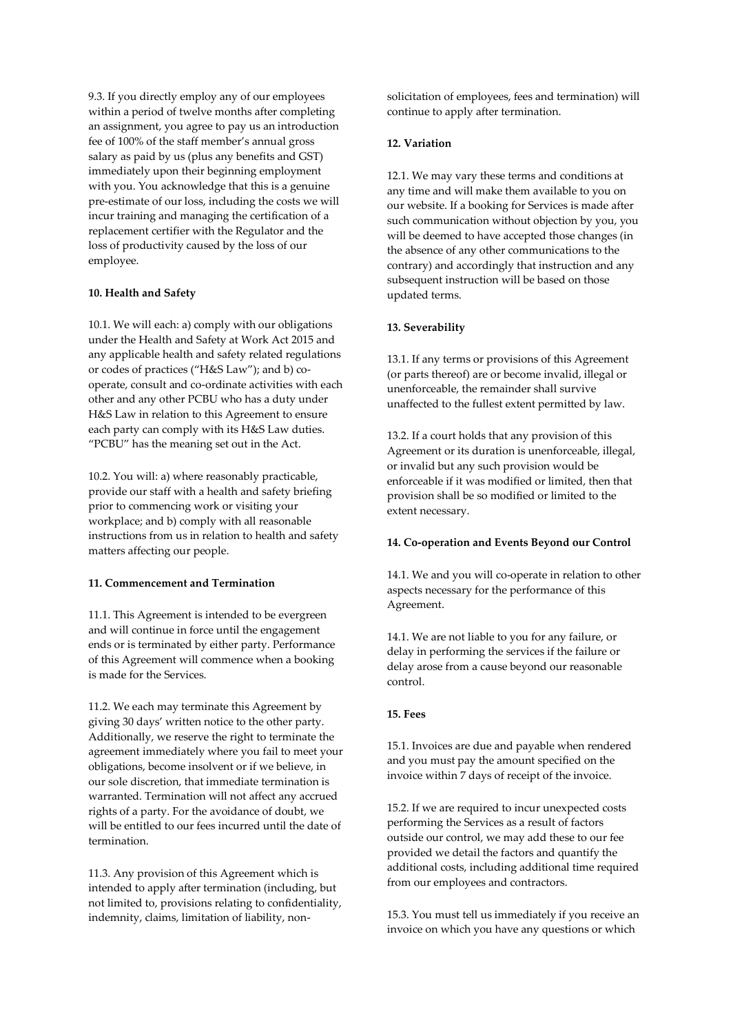9.3. If you directly employ any of our employees within a period of twelve months after completing an assignment, you agree to pay us an introduction fee of 100% of the staff member's annual gross salary as paid by us (plus any benefits and GST) immediately upon their beginning employment with you. You acknowledge that this is a genuine pre-estimate of our loss, including the costs we will incur training and managing the certification of a replacement certifier with the Regulator and the loss of productivity caused by the loss of our employee.

## **10. Health and Safety**

10.1. We will each: a) comply with our obligations under the Health and Safety at Work Act 2015 and any applicable health and safety related regulations or codes of practices ("H&S Law"); and b) cooperate, consult and co-ordinate activities with each other and any other PCBU who has a duty under H&S Law in relation to this Agreement to ensure each party can comply with its H&S Law duties. "PCBU" has the meaning set out in the Act.

10.2. You will: a) where reasonably practicable, provide our staff with a health and safety briefing prior to commencing work or visiting your workplace; and b) comply with all reasonable instructions from us in relation to health and safety matters affecting our people.

## **11. Commencement and Termination**

11.1. This Agreement is intended to be evergreen and will continue in force until the engagement ends or is terminated by either party. Performance of this Agreement will commence when a booking is made for the Services.

11.2. We each may terminate this Agreement by giving 30 days' written notice to the other party. Additionally, we reserve the right to terminate the agreement immediately where you fail to meet your obligations, become insolvent or if we believe, in our sole discretion, that immediate termination is warranted. Termination will not affect any accrued rights of a party. For the avoidance of doubt, we will be entitled to our fees incurred until the date of termination.

11.3. Any provision of this Agreement which is intended to apply after termination (including, but not limited to, provisions relating to confidentiality, indemnity, claims, limitation of liability, nonsolicitation of employees, fees and termination) will continue to apply after termination.

# **12. Variation**

12.1. We may vary these terms and conditions at any time and will make them available to you on our website. If a booking for Services is made after such communication without objection by you, you will be deemed to have accepted those changes (in the absence of any other communications to the contrary) and accordingly that instruction and any subsequent instruction will be based on those updated terms.

#### **13. Severability**

13.1. If any terms or provisions of this Agreement (or parts thereof) are or become invalid, illegal or unenforceable, the remainder shall survive unaffected to the fullest extent permitted by law.

13.2. If a court holds that any provision of this Agreement or its duration is unenforceable, illegal, or invalid but any such provision would be enforceable if it was modified or limited, then that provision shall be so modified or limited to the extent necessary.

#### **14. Co-operation and Events Beyond our Control**

14.1. We and you will co-operate in relation to other aspects necessary for the performance of this Agreement.

14.1. We are not liable to you for any failure, or delay in performing the services if the failure or delay arose from a cause beyond our reasonable control.

## **15. Fees**

15.1. Invoices are due and payable when rendered and you must pay the amount specified on the invoice within 7 days of receipt of the invoice.

15.2. If we are required to incur unexpected costs performing the Services as a result of factors outside our control, we may add these to our fee provided we detail the factors and quantify the additional costs, including additional time required from our employees and contractors.

15.3. You must tell us immediately if you receive an invoice on which you have any questions or which